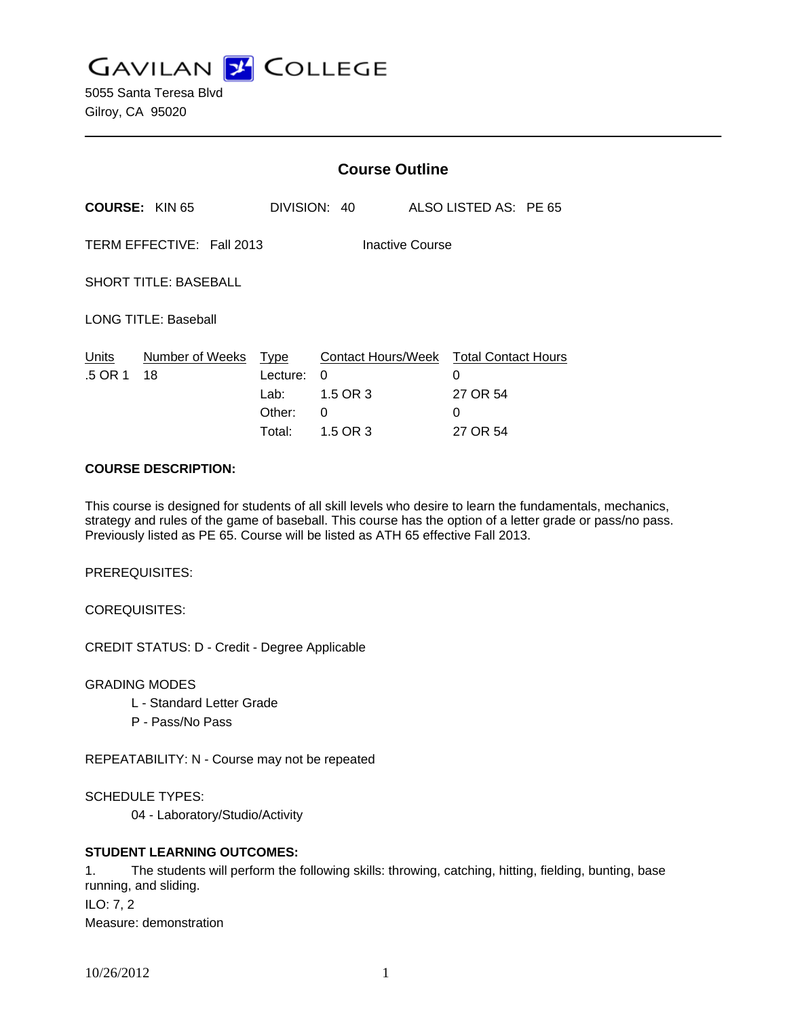**GAVILAN J COLLEGE** 

5055 Santa Teresa Blvd Gilroy, CA 95020

|                                              |                       | <b>Course Outline</b>                               |                                                             |  |                                                              |  |
|----------------------------------------------|-----------------------|-----------------------------------------------------|-------------------------------------------------------------|--|--------------------------------------------------------------|--|
|                                              | <b>COURSE: KIN 65</b> |                                                     | DIVISION: 40                                                |  | ALSO LISTED AS: PE 65                                        |  |
| TERM EFFECTIVE: Fall 2013<br>Inactive Course |                       |                                                     |                                                             |  |                                                              |  |
| <b>SHORT TITLE: BASEBALL</b>                 |                       |                                                     |                                                             |  |                                                              |  |
| <b>LONG TITLE: Baseball</b>                  |                       |                                                     |                                                             |  |                                                              |  |
| Units<br>.5 OR 1                             | Number of Weeks<br>18 | <u>Type</u><br>Lecture:<br>Lab:<br>Other:<br>Total: | <b>Contact Hours/Week</b><br>0<br>1.5 OR 3<br>0<br>1.5 OR 3 |  | <b>Total Contact Hours</b><br>0<br>27 OR 54<br>0<br>27 OR 54 |  |

## **COURSE DESCRIPTION:**

This course is designed for students of all skill levels who desire to learn the fundamentals, mechanics, strategy and rules of the game of baseball. This course has the option of a letter grade or pass/no pass. Previously listed as PE 65. Course will be listed as ATH 65 effective Fall 2013.

PREREQUISITES:

COREQUISITES:

CREDIT STATUS: D - Credit - Degree Applicable

GRADING MODES

- L Standard Letter Grade
- P Pass/No Pass

REPEATABILITY: N - Course may not be repeated

SCHEDULE TYPES:

04 - Laboratory/Studio/Activity

## **STUDENT LEARNING OUTCOMES:**

1. The students will perform the following skills: throwing, catching, hitting, fielding, bunting, base running, and sliding. ILO: 7, 2 Measure: demonstration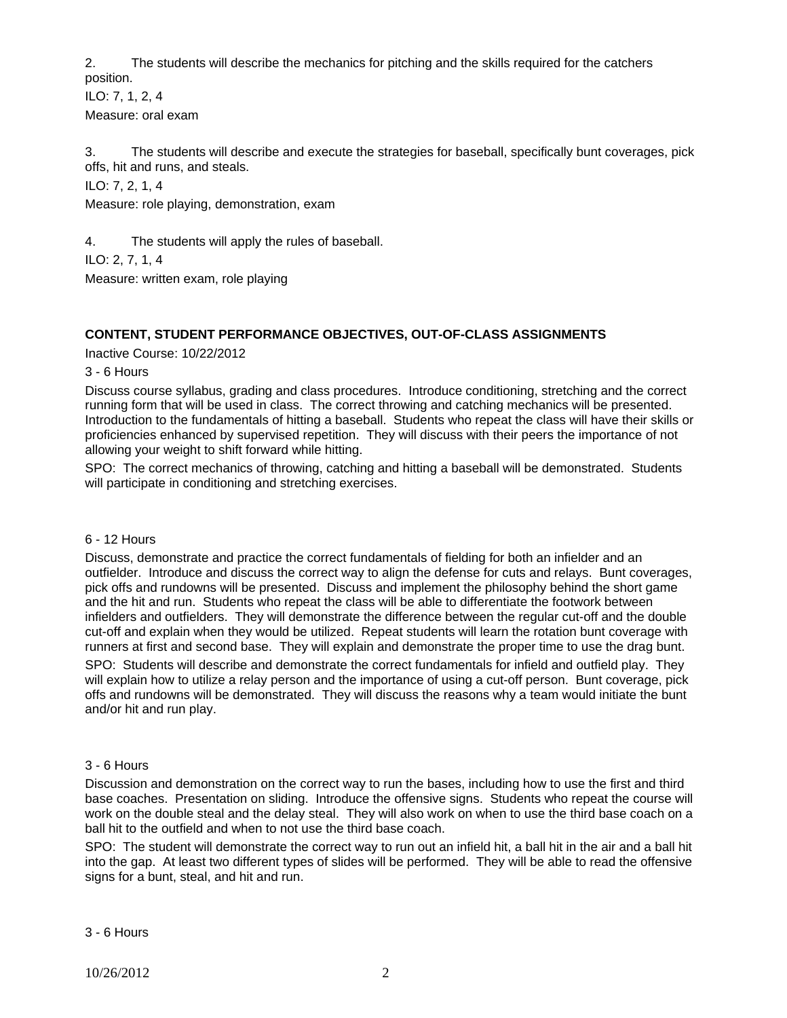2. The students will describe the mechanics for pitching and the skills required for the catchers position.

ILO: 7, 1, 2, 4 Measure: oral exam

3. The students will describe and execute the strategies for baseball, specifically bunt coverages, pick offs, hit and runs, and steals.

ILO: 7, 2, 1, 4

Measure: role playing, demonstration, exam

4. The students will apply the rules of baseball.

ILO: 2, 7, 1, 4

Measure: written exam, role playing

# **CONTENT, STUDENT PERFORMANCE OBJECTIVES, OUT-OF-CLASS ASSIGNMENTS**

Inactive Course: 10/22/2012

3 - 6 Hours

Discuss course syllabus, grading and class procedures. Introduce conditioning, stretching and the correct running form that will be used in class. The correct throwing and catching mechanics will be presented. Introduction to the fundamentals of hitting a baseball. Students who repeat the class will have their skills or proficiencies enhanced by supervised repetition. They will discuss with their peers the importance of not allowing your weight to shift forward while hitting.

SPO: The correct mechanics of throwing, catching and hitting a baseball will be demonstrated. Students will participate in conditioning and stretching exercises.

## 6 - 12 Hours

Discuss, demonstrate and practice the correct fundamentals of fielding for both an infielder and an outfielder. Introduce and discuss the correct way to align the defense for cuts and relays. Bunt coverages, pick offs and rundowns will be presented. Discuss and implement the philosophy behind the short game and the hit and run. Students who repeat the class will be able to differentiate the footwork between infielders and outfielders. They will demonstrate the difference between the regular cut-off and the double cut-off and explain when they would be utilized. Repeat students will learn the rotation bunt coverage with runners at first and second base. They will explain and demonstrate the proper time to use the drag bunt.

SPO: Students will describe and demonstrate the correct fundamentals for infield and outfield play. They will explain how to utilize a relay person and the importance of using a cut-off person. Bunt coverage, pick offs and rundowns will be demonstrated. They will discuss the reasons why a team would initiate the bunt and/or hit and run play.

## 3 - 6 Hours

Discussion and demonstration on the correct way to run the bases, including how to use the first and third base coaches. Presentation on sliding. Introduce the offensive signs. Students who repeat the course will work on the double steal and the delay steal. They will also work on when to use the third base coach on a ball hit to the outfield and when to not use the third base coach.

SPO: The student will demonstrate the correct way to run out an infield hit, a ball hit in the air and a ball hit into the gap. At least two different types of slides will be performed. They will be able to read the offensive signs for a bunt, steal, and hit and run.

3 - 6 Hours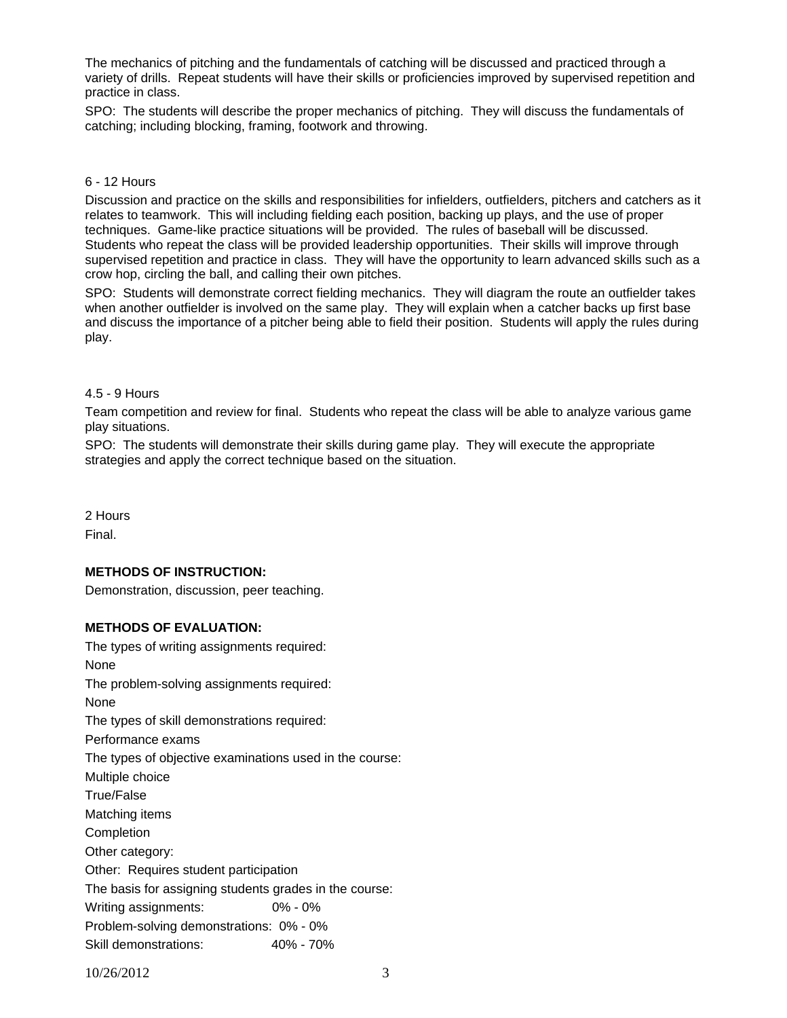The mechanics of pitching and the fundamentals of catching will be discussed and practiced through a variety of drills. Repeat students will have their skills or proficiencies improved by supervised repetition and practice in class.

SPO: The students will describe the proper mechanics of pitching. They will discuss the fundamentals of catching; including blocking, framing, footwork and throwing.

#### 6 - 12 Hours

Discussion and practice on the skills and responsibilities for infielders, outfielders, pitchers and catchers as it relates to teamwork. This will including fielding each position, backing up plays, and the use of proper techniques. Game-like practice situations will be provided. The rules of baseball will be discussed. Students who repeat the class will be provided leadership opportunities. Their skills will improve through supervised repetition and practice in class. They will have the opportunity to learn advanced skills such as a crow hop, circling the ball, and calling their own pitches.

SPO: Students will demonstrate correct fielding mechanics. They will diagram the route an outfielder takes when another outfielder is involved on the same play. They will explain when a catcher backs up first base and discuss the importance of a pitcher being able to field their position. Students will apply the rules during play.

#### 4.5 - 9 Hours

Team competition and review for final. Students who repeat the class will be able to analyze various game play situations.

SPO: The students will demonstrate their skills during game play. They will execute the appropriate strategies and apply the correct technique based on the situation.

2 Hours Final.

## **METHODS OF INSTRUCTION:**

Demonstration, discussion, peer teaching.

## **METHODS OF EVALUATION:**

The types of writing assignments required: None The problem-solving assignments required: None The types of skill demonstrations required: Performance exams The types of objective examinations used in the course: Multiple choice True/False Matching items Completion Other category: Other: Requires student participation The basis for assigning students grades in the course: Writing assignments: 0% - 0% Problem-solving demonstrations: 0% - 0% Skill demonstrations: 40% - 70%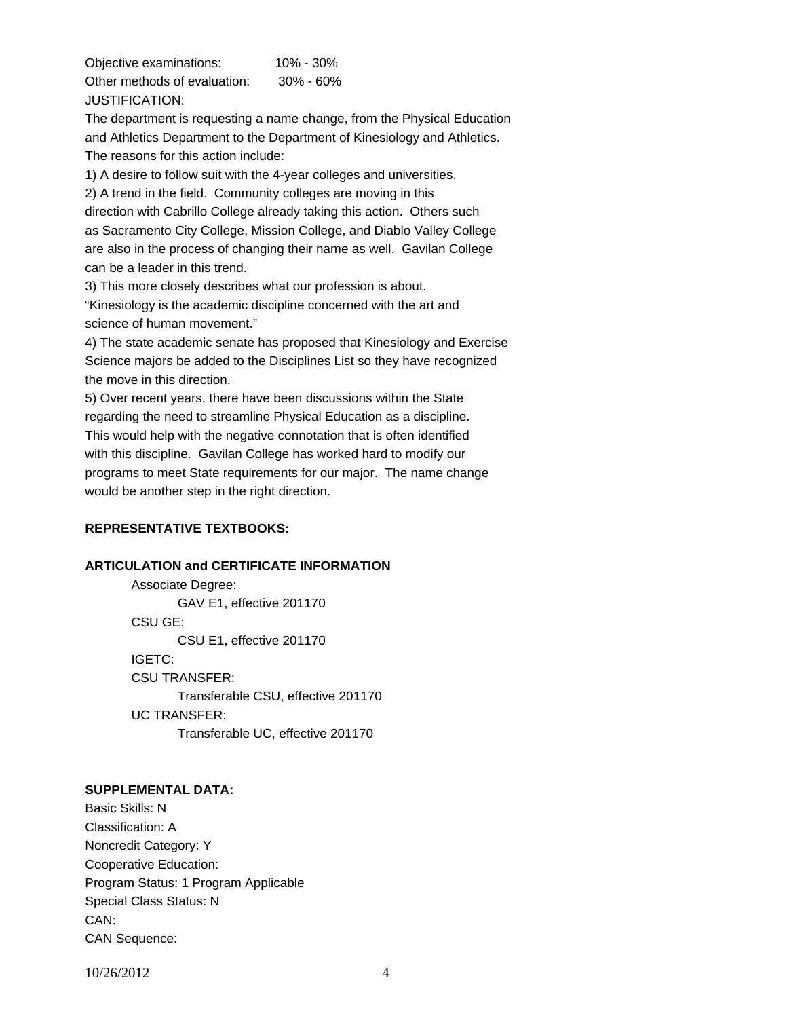Objective examinations: 10% - 30% Other methods of evaluation: 30% - 60% JUSTIFICATION:

The department is requesting a name change, from the Physical Education and Athletics Department to the Department of Kinesiology and Athletics. The reasons for this action include:

1) A desire to follow suit with the 4-year colleges and universities.

2) A trend in the field. Community colleges are moving in this

direction with Cabrillo College already taking this action. Others such as Sacramento City College, Mission College, and Diablo Valley College are also in the process of changing their name as well. Gavilan College can be a leader in this trend.

3) This more closely describes what our profession is about.

"Kinesiology is the academic discipline concerned with the art and science of human movement."

4) The state academic senate has proposed that Kinesiology and Exercise Science majors be added to the Disciplines List so they have recognized the move in this direction.

5) Over recent years, there have been discussions within the State regarding the need to streamline Physical Education as a discipline. This would help with the negative connotation that is often identified with this discipline. Gavilan College has worked hard to modify our programs to meet State requirements for our major. The name change would be another step in the right direction.

## **REPRESENTATIVE TEXTBOOKS:**

## **ARTICULATION and CERTIFICATE INFORMATION**

 Associate Degree: GAV E1, effective 201170 CSU GE: CSU E1, effective 201170 IGETC: CSU TRANSFER: Transferable CSU, effective 201170 UC TRANSFER: Transferable UC, effective 201170

## **SUPPLEMENTAL DATA:**

Basic Skills: N Classification: A Noncredit Category: Y Cooperative Education: Program Status: 1 Program Applicable Special Class Status: N CAN: CAN Sequence:

10/26/2012 4